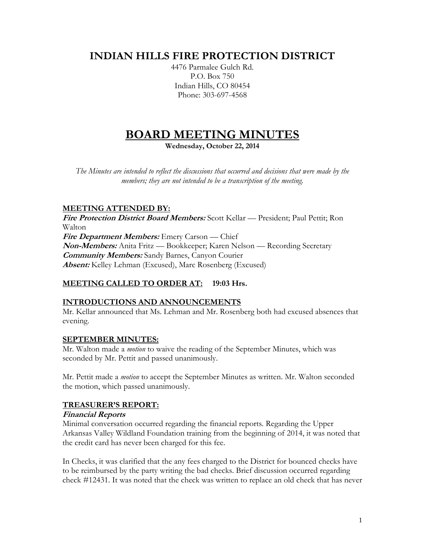# **INDIAN HILLS FIRE PROTECTION DISTRICT**

4476 Parmalee Gulch Rd. P.O. Box 750 Indian Hills, CO 80454 Phone: 303-697-4568

# **BOARD MEETING MINUTES**

**Wednesday, October 22, 2014**

*The Minutes are intended to reflect the discussions that occurred and decisions that were made by the members; they are not intended to be a transcription of the meeting.*

# **MEETING ATTENDED BY:**

**Fire Protection District Board Members:** Scott Kellar — President; Paul Pettit; Ron Walton **Fire Department Members:** Emery Carson — Chief **Non-Members:** Anita Fritz — Bookkeeper; Karen Nelson — Recording Secretary **Community Members:** Sandy Barnes, Canyon Courier **Absent:** Kelley Lehman (Excused), Marc Rosenberg (Excused)

# **MEETING CALLED TO ORDER AT: 19:03 Hrs.**

# **INTRODUCTIONS AND ANNOUNCEMENTS**

Mr. Kellar announced that Ms. Lehman and Mr. Rosenberg both had excused absences that evening.

# **SEPTEMBER MINUTES:**

Mr. Walton made a *motion* to waive the reading of the September Minutes, which was seconded by Mr. Pettit and passed unanimously.

Mr. Pettit made a *motion* to accept the September Minutes as written. Mr. Walton seconded the motion, which passed unanimously.

# **TREASURER'S REPORT:**

#### **Financial Reports**

Minimal conversation occurred regarding the financial reports. Regarding the Upper Arkansas Valley Wildland Foundation training from the beginning of 2014, it was noted that the credit card has never been charged for this fee.

In Checks, it was clarified that the any fees charged to the District for bounced checks have to be reimbursed by the party writing the bad checks. Brief discussion occurred regarding check #12431. It was noted that the check was written to replace an old check that has never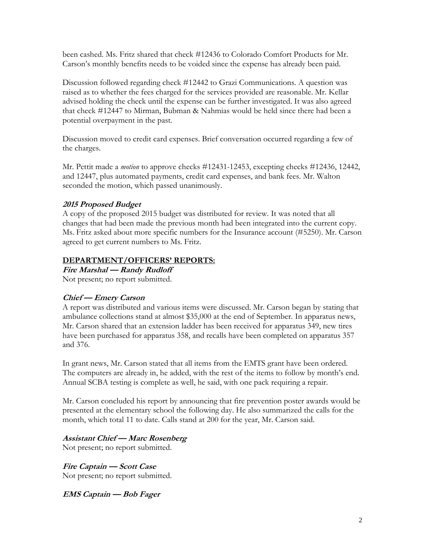been cashed. Ms. Fritz shared that check #12436 to Colorado Comfort Products for Mr. Carson's monthly benefits needs to be voided since the expense has already been paid.

Discussion followed regarding check #12442 to Grazi Communications. A question was raised as to whether the fees charged for the services provided are reasonable. Mr. Kellar advised holding the check until the expense can be further investigated. It was also agreed that check #12447 to Mirman, Bubman & Nahmias would be held since there had been a potential overpayment in the past.

Discussion moved to credit card expenses. Brief conversation occurred regarding a few of the charges.

Mr. Pettit made a *motion* to approve checks #12431-12453, excepting checks #12436, 12442, and 12447, plus automated payments, credit card expenses, and bank fees. Mr. Walton seconded the motion, which passed unanimously.

# **2015 Proposed Budget**

A copy of the proposed 2015 budget was distributed for review. It was noted that all changes that had been made the previous month had been integrated into the current copy. Ms. Fritz asked about more specific numbers for the Insurance account (#5250). Mr. Carson agreed to get current numbers to Ms. Fritz.

#### **DEPARTMENT/OFFICERS' REPORTS:**

**Fire Marshal — Randy Rudloff** Not present; no report submitted.

#### **Chief — Emery Carson**

A report was distributed and various items were discussed. Mr. Carson began by stating that ambulance collections stand at almost \$35,000 at the end of September. In apparatus news, Mr. Carson shared that an extension ladder has been received for apparatus 349, new tires have been purchased for apparatus 358, and recalls have been completed on apparatus 357 and 376.

In grant news, Mr. Carson stated that all items from the EMTS grant have been ordered. The computers are already in, he added, with the rest of the items to follow by month's end. Annual SCBA testing is complete as well, he said, with one pack requiring a repair.

Mr. Carson concluded his report by announcing that fire prevention poster awards would be presented at the elementary school the following day. He also summarized the calls for the month, which total 11 to date. Calls stand at 200 for the year, Mr. Carson said.

#### **Assistant Chief — Marc Rosenberg**

Not present; no report submitted.

**Fire Captain — Scott Case** Not present; no report submitted.

**EMS Captain — Bob Fager**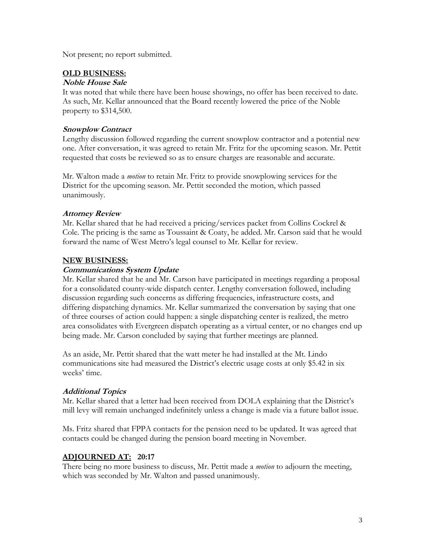Not present; no report submitted.

#### **OLD BUSINESS:**

#### **Noble House Sale**

It was noted that while there have been house showings, no offer has been received to date. As such, Mr. Kellar announced that the Board recently lowered the price of the Noble property to \$314,500.

#### **Snowplow Contract**

Lengthy discussion followed regarding the current snowplow contractor and a potential new one. After conversation, it was agreed to retain Mr. Fritz for the upcoming season. Mr. Pettit requested that costs be reviewed so as to ensure charges are reasonable and accurate.

Mr. Walton made a *motion* to retain Mr. Fritz to provide snowplowing services for the District for the upcoming season. Mr. Pettit seconded the motion, which passed unanimously.

#### **Attorney Review**

Mr. Kellar shared that he had received a pricing/services packet from Collins Cockrel & Cole. The pricing is the same as Toussaint & Coaty, he added. Mr. Carson said that he would forward the name of West Metro's legal counsel to Mr. Kellar for review.

#### **NEW BUSINESS:**

#### **Communications System Update**

Mr. Kellar shared that he and Mr. Carson have participated in meetings regarding a proposal for a consolidated county-wide dispatch center. Lengthy conversation followed, including discussion regarding such concerns as differing frequencies, infrastructure costs, and differing dispatching dynamics. Mr. Kellar summarized the conversation by saying that one of three courses of action could happen: a single dispatching center is realized, the metro area consolidates with Evergreen dispatch operating as a virtual center, or no changes end up being made. Mr. Carson concluded by saying that further meetings are planned.

As an aside, Mr. Pettit shared that the watt meter he had installed at the Mt. Lindo communications site had measured the District's electric usage costs at only \$5.42 in six weeks' time.

#### **Additional Topics**

Mr. Kellar shared that a letter had been received from DOLA explaining that the District's mill levy will remain unchanged indefinitely unless a change is made via a future ballot issue.

Ms. Fritz shared that FPPA contacts for the pension need to be updated. It was agreed that contacts could be changed during the pension board meeting in November.

#### **ADJOURNED AT: 20:17**

There being no more business to discuss, Mr. Pettit made a *motion* to adjourn the meeting, which was seconded by Mr. Walton and passed unanimously.